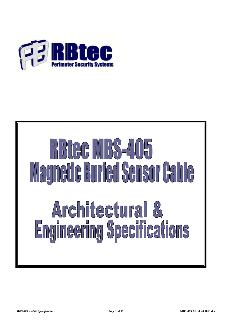

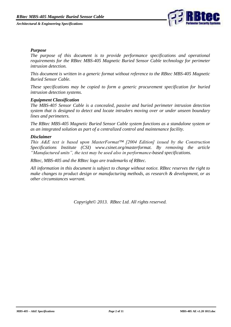

#### *Purpose*

*The purpose of this document is to provide performance specifications and operational requirements for the RBtec MBS-405 Magnetic Buried Sensor Cable technology for perimeter intrusion detection.*

*This document is written in a generic format without reference to the RBtec MBS-405 Magnetic Buried Sensor Cable.*

*These specifications may be copied to form a generic procurement specification for buried intrusion detection systems.*

#### *Equipment Classification*

*The MBS-405 Sensor Cable is a concealed, passive and buried perimeter intrusion detection system that is designed to detect and locate intruders moving over or under unseen boundary lines and perimeters.*

*The RBtec MBS-405 Magnetic Buried Sensor Cable system functions as a standalone system or as an integrated solution as part of a centralized control and maintenance facility.*

#### *Disclaimer*

*This A&E text is based upon MasterFormat™ [2004 Edition] issued by the Construction Specifications Institute (CSI) www.csinet.org/masterformat. By removing the article "Manufactured units", the text may be used also in performance-based specifications.*

*RBtec, MBS-405 and the RBtec logo are trademarks of RBtec.*

*All information in this document is subject to change without notice. RBtec reserves the right to make changes to product design or manufacturing methods, as research & development, or as other circumstances warrant.*

*Copyright© 2013. RBtec Ltd. All rights reserved.*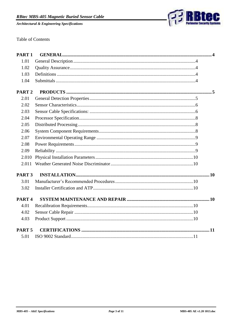

**Table of Contents** 

| PART <sub>1</sub> |  |
|-------------------|--|
| 1.01              |  |
| 1.02              |  |
| 1.03              |  |
| 1.04              |  |
| PART <sub>2</sub> |  |
| 2.01              |  |
| 2.02              |  |
| 2.03              |  |
| 2.04              |  |
| 2.05              |  |
| 2.06              |  |
| 2.07              |  |
| 2.08              |  |
| 2.09              |  |
| 2.010             |  |
| 2.011             |  |
| PART <sub>3</sub> |  |
| 3.01              |  |
| 3.02              |  |
| PART <sub>4</sub> |  |
| 4.01              |  |
| 4.02              |  |
| 4.03              |  |
| PART <sub>5</sub> |  |
| 5.01              |  |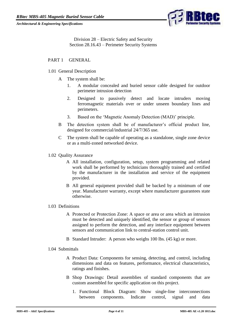

Division 28 – Electric Safety and Security Section 28.16.43 – Perimeter Security Systems

## <span id="page-3-1"></span><span id="page-3-0"></span>PART 1 GENERAL

- 1.01 General Description
	- A The system shall be:
		- 1. A modular concealed and buried sensor cable designed for outdoor perimeter intrusion detection
		- 2. Designed to passively detect and locate intruders moving ferromagnetic materials over or under unseen boundary lines and perimeters.
		- 3. Based on the 'Magnetic Anomaly Detection (MAD)' principle.
	- B The detection system shall be of manufacturer's official product line, designed for commercial/industrial 24/7/365 use.
	- C The system shall be capable of operating as a standalone, single zone device or as a multi-zoned networked device.
- <span id="page-3-2"></span>1.02 Quality Assurance
	- A All installation, configuration, setup, system programming and related work shall be performed by technicians thoroughly trained and certified by the manufacturer in the installation and service of the equipment provided.
	- B All general equipment provided shall be backed by a minimum of one year. Manufacturer warranty, except where manufacturer guarantees state otherwise.

#### <span id="page-3-3"></span>1.03 Definitions

- A Protected or Protection Zone: A space or area or area which an intrusion must be detected and uniquely identified, the sensor or group of sensors assigned to perform the detection, and any interface equipment between sensors and communication link to central-station control unit.
- B Standard Intruder: A person who weighs 100 lbs. (45 kg) or more.

#### <span id="page-3-4"></span>1.04 Submittals

- A Product Data: Components for sensing, detecting, and control, including dimensions and data on features, performance, electrical characteristics, ratings and finishes.
- B Shop Drawings: Detail assemblies of standard components that are custom assembled for specific application on this project.
	- 1. Functional Block Diagram: Show single-line interconnections between components. Indicate control, signal and data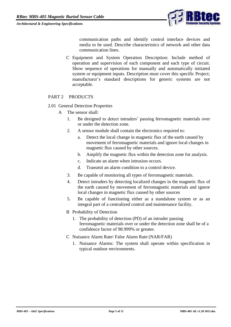

communication paths and identify control interface devices and media to be used. Describe characteristics of network and other data communication lines.

C Equipment and System Operation Description: Include method of operation and supervision of each component and each type of circuit. Show sequence of operations for manually and automatically initiated system or equipment inputs. Description must cover this specific Project; manufacturer's standard descriptions for generic systems are not acceptable.

## <span id="page-4-0"></span>PART 2 PRODUCTS

- <span id="page-4-1"></span>2.01 General Detection Properties
	- A The sensor shall:
		- 1. Be designed to detect intruders' passing ferromagnetic materials over or under the detection zone.
		- 2. A sensor module shall contain the electronics required to:
			- a. Detect the local change in magnetic flux of the earth caused by movement of ferromagnetic materials and ignore local changes in magnetic flux caused by other sources.
			- b. Amplify the magnetic flux within the detection zone for analysis.
			- c. Indicate an alarm when intrusion occurs.
			- d. Transmit an alarm condition to a control device.
		- 3. Be capable of monitoring all types of ferromagnetic materials.
		- 4. Detect intruders by detecting localized changes in the magnetic flux of the earth caused by movement of ferromagnetic materials and ignore local changes in magnetic flux caused by other sources
		- 5. Be capable of functioning either as a standalone system or as an integral part of a centralized control and maintenance facility.
		- B Probability of Detection
			- 1. The probability of detection (PD) of an intruder passing ferromagnetic materials over or under the detection zone shall be of a confidence factor of 98.999% or greater.
		- C Nuisance Alarm Rate/ False Alarm Rate (NAR/FAR)
			- 1. Nuisance Alarms: The system shall operate within specification in typical outdoor environments.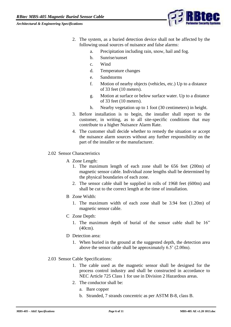

- 2. The system, as a buried detection device shall not be affected by the following usual sources of nuisance and false alarms:
	- a. Precipitation including rain, snow, hail and fog.
	- b. Sunrise/sunset
	- c. Wind
	- d. Temperature changes
	- e. Sandstorms
	- f. Motion of nearby objects (vehicles, etc.) Up to a distance of 33 feet (10 meters).
	- g. Motion at surface or below surface water. Up to a distance of 33 feet (10 meters).
	- h. Nearby vegetation up to 1 foot (30 centimeters) in height.
- 3. Before installation is to begin, the installer shall report to the customer, in writing, as to all site-specific conditions that may contribute to a higher Nuisance Alarm Rate.
- 4. The customer shall decide whether to remedy the situation or accept the nuisance alarm sources without any further responsibility on the part of the installer or the manufacturer.
- <span id="page-5-0"></span>2.02 Sensor Characteristics
	- A Zone Length:
		- 1. The maximum length of each zone shall be 656 feet (200m) of magnetic sensor cable. Individual zone lengths shall be determined by the physical boundaries of each zone.
		- 2. The sensor cable shall be supplied in rolls of 1968 feet (600m) and shall be cut to the correct length at the time of installation.
	- B Zone Width:
		- 1. The maximum width of each zone shall be 3.94 feet (1.20m) of magnetic sensor cable.
	- C Zone Depth:
		- 1. The maximum depth of burial of the sensor cable shall be 16" (40cm).
	- D Detection area:
		- 1. When buried in the ground at the suggested depth, the detection area above the sensor cable shall be approximately 6.5' (2.00m).
- <span id="page-5-1"></span>2.03 Sensor Cable Specifications:
	- 1. The cable used as the magnetic sensor shall be designed for the process control industry and shall be constructed in accordance to NEC Article 725 Class 1 for use in Division 2 Hazardous areas.
	- 2. The conductor shall be:
		- a. Bare copper
		- b. Stranded, 7 strands concentric as per ASTM B-8, class B.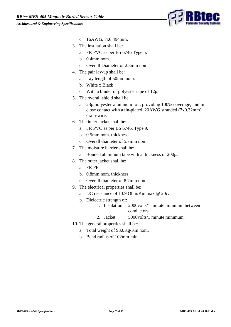

- c. 16AWG, 7x0.494mm.
- 3. The insulation shall be:
	- a. FR PVC as per BS 6746 Type 5.
	- b. 0.4mm nom.
	- c. Overall Diameter of 2.3mm nom.
- 4. The pair lay-up shall be:
	- a. Lay length of 50mm nom.
	- b. White x Black
	- c. With a binder of polyester tape of 12μ
- 5. The overall shield shall be:
	- a. 23μ polyester-aluminum foil, providing 100% coverage, laid in close contact with a tin-plated, 20AWG stranded (7x0.32mm) drain-wire.
- 6. The inner jacket shall be:
	- a. FR PVC as per BS 6746, Type 9.
	- b. 0.5mm nom. thickness
	- c. Overall diameter of 5.7mm nom.
- 7. The moisture barrier shall be:
	- a. Bonded aluminum tape with a thickness of 200μ.
- 8. The outer jacket shall be:
	- a. FR PE
	- b. 0.8mm nom. thickness.
	- c. Overall diameter of 8.7mm nom.
- 9. The electrical properties shall be:
	- a. DC resistance of 13.9 Ohm/Km max @ 20c.
	- b. Dielectric strength of:
		- 1. Insulation: 2000volts/1 minute minimum between conductors.
		- 2. Jacket: 5000volts/1 minute minimum.
- <span id="page-6-0"></span>10. The general properties shall be:
	- a. Total weight of 93.0Kg/Km nom.
	- b. Bend radius of 102mm min.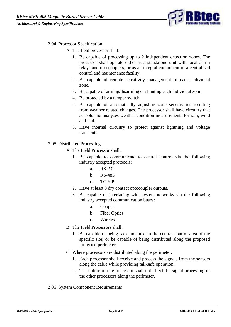

# 2.04 Processor Specification

- A The field processor shall:
	- 1. Be capable of processing up to 2 independent detection zones. The processor shall operate either as a standalone unit with local alarm relays and optocouplers, or as an integral component of a centralized control and maintenance facility.
	- 2. Be capable of remote sensitivity management of each individual zone.
	- 3. Be capable of arming/disarming or shunting each individual zone
	- 4. Be protected by a tamper switch.
	- 5. Be capable of automatically adjusting zone sensitivities resulting from weather related changes. The processor shall have circuitry that accepts and analyzes weather condition measurements for rain, wind and hail.
	- 6. Have internal circuitry to protect against lightning and voltage transients.
- <span id="page-7-0"></span>2.05 Distributed Processing
	- A The Field Processor shall:
		- 1. Be capable to communicate to central control via the following industry accepted protocols:
			- a. RS-232
			- b. RS-485
			- c. TCP/IP
		- 2. Have at least 8 dry contact optocoupler outputs.
		- 3. Be capable of interfacing with system networks via the following industry accepted communication buses:
			- a. Copper
			- b. Fiber Optics
			- c. Wireless
	- B The Field Processors shall:
		- 1. Be capable of being rack mounted in the central control area of the specific site; or be capable of being distributed along the proposed protected perimeter.
	- C Where processors are distributed along the perimeter:
		- 1. Each processor shall receive and process the signals from the sensors along the cable while providing fail-safe operation.
		- 2. The failure of one processor shall not affect the signal processing of the other processors along the perimeter.
- <span id="page-7-1"></span>2.06 System Component Requirements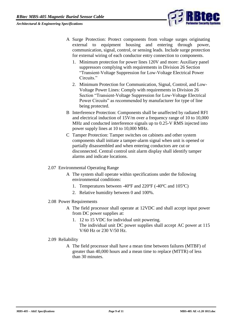

- A Surge Protection: Protect components from voltage surges originating external to equipment housing and entering through power, communication, signal, control, or sensing leads. Include surge protection for external wiring of each conductor entry connection to components.
	- 1. Minimum protection for power lines 120V and more: Auxiliary panel suppressors complying with requirements in Division 26 Section "Transient-Voltage Suppression for Low-Voltage Electrical Power Circuits."
	- 2. Minimum Protection for Communication, Signal, Control, and Low-Voltage Power Lines: Comply with requirements in Division 26 Section "Transient-Voltage Suppression for Low-Voltage Electrical Power Circuits" as recommended by manufacturer for type of line being protected.
- B Interference Protection: Components shall be unaffected by radiated RFI and electrical induction of 15V/m over a frequency range of 10 to 10,000 MHz and conducted interference signals up to 0.25-V RMS injected into power supply lines at 10 to 10,000 MHz.
- C Tamper Protection: Tamper switches on cabinets and other system components shall initiate a tamper-alarm signal when unit is opened or partially disassembled and when entering conductors are cut or disconnected. Central control unit alarm display shall identify tamper alarms and indicate locations.
- <span id="page-8-0"></span>2.07 Environmental Operating Range
	- A The system shall operate within specifications under the following environmental conditions:
		- 1. Temperatures between -40ºF and 220ºF (-40ºC and 105ºC)
		- 2. Relative humidity between 0 and 100%.
- <span id="page-8-1"></span>2.08 Power Requirements
	- A The field processor shall operate at 12VDC and shall accept input power from DC power supplies at:
		- 1. 12 to 15 VDC for individual unit powering. The individual unit DC power supplies shall accept AC power at 115 V/60 Hz or 230 V/50 Hz.
- <span id="page-8-3"></span><span id="page-8-2"></span>2.09 Reliability
	- A The field processor shall have a mean time between failures (MTBF) of greater than 40,000 hours and a mean time to replace (MTTR) of less than 30 minutes.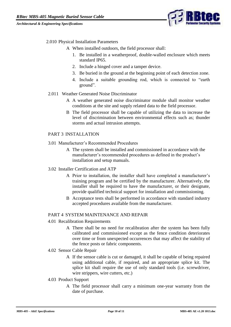

#### 2.010 Physical Installation Parameters

- A When installed outdoors, the field processor shall:
	- 1. Be installed in a weatherproof, double-walled enclosure which meets standard IP65.
	- 2. Include a hinged cover and a tamper device.
	- 3. Be buried in the ground at the beginning point of each detection zone.
	- 4. Include a suitable grounding rod, which is connected to "earth ground".
- <span id="page-9-0"></span>2.011 Weather Generated Noise Discriminator
	- A A weather generated noise discriminator module shall monitor weather conditions at the site and supply related data to the field processor.
	- B The field processor shall be capable of utilizing the data to increase the level of discrimination between environmental effects such as; thunder storms and actual intrusion attempts.

## <span id="page-9-1"></span>PART 3 INSTALLATION

- <span id="page-9-2"></span>3.01 Manufacturer's Recommended Procedures
	- A The system shall be installed and commissioned in accordance with the manufacturer's recommended procedures as defined in the product's installation and setup manuals.
- <span id="page-9-3"></span>3.02 Installer Certification and ATP
	- A Prior to installation, the installer shall have completed a manufacturer's training program and be certified by the manufacturer. Alternatively, the installer shall be required to have the manufacturer, or their designate, provide qualified technical support for installation and commissioning.
	- B Acceptance tests shall be performed in accordance with standard industry accepted procedures available from the manufacturer.

#### <span id="page-9-4"></span>PART 4 SYSTEM MAINTENANCE AND REPAIR

- <span id="page-9-5"></span>4.01 Recalibration Requirements
	- A There shall be no need for recalibration after the system has been fully calibrated and commissioned except as the fence condition deteriorates over time or from unexpected occurrences that may affect the stability of the fence posts or fabric components.
- <span id="page-9-6"></span>4.02 Sensor Cable Repair
	- A If the sensor cable is cut or damaged, it shall be capable of being repaired using additional cable, if required, and an appropriate splice kit. The splice kit shall require the use of only standard tools (i.e. screwdriver, wire strippers, wire cutters, etc.)
- <span id="page-9-7"></span>4.03 Product Support
	- A The field processor shall carry a minimum one-year warranty from the date of purchase.